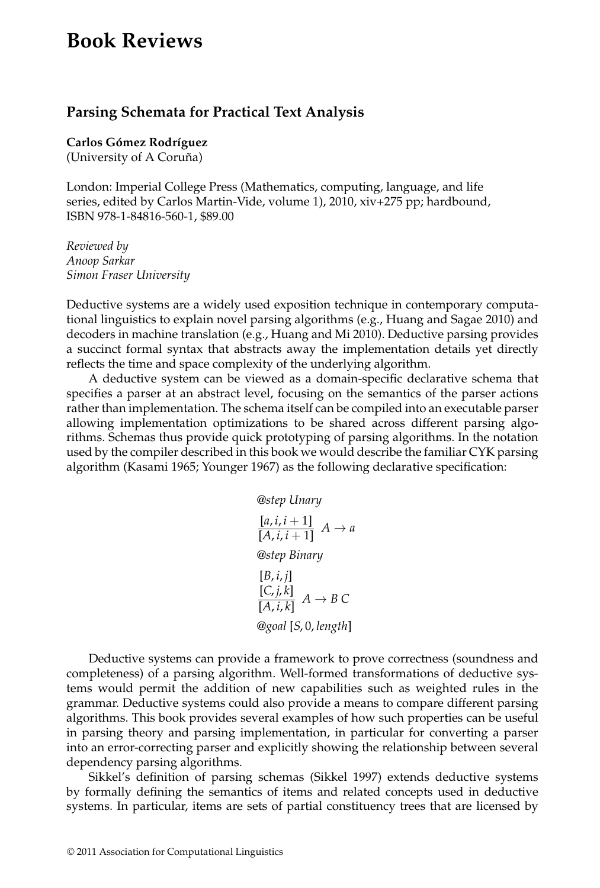## **Book Reviews**

## **Parsing Schemata for Practical Text Analysis**

**Carlos Gómez Rodríguez** 

(University of A Coruña)

London: Imperial College Press (Mathematics, computing, language, and life series, edited by Carlos Martin-Vide, volume 1), 2010, xiv+275 pp; hardbound, ISBN 978-1-84816-560-1, \$89.00

*Reviewed by Anoop Sarkar Simon Fraser University*

Deductive systems are a widely used exposition technique in contemporary computational linguistics to explain novel parsing algorithms (e.g., Huang and Sagae 2010) and decoders in machine translation (e.g., Huang and Mi 2010). Deductive parsing provides a succinct formal syntax that abstracts away the implementation details yet directly reflects the time and space complexity of the underlying algorithm.

A deductive system can be viewed as a domain-specific declarative schema that specifies a parser at an abstract level, focusing on the semantics of the parser actions rather than implementation. The schema itself can be compiled into an executable parser allowing implementation optimizations to be shared across different parsing algorithms. Schemas thus provide quick prototyping of parsing algorithms. In the notation used by the compiler described in this book we would describe the familiar CYK parsing algorithm (Kasami 1965; Younger 1967) as the following declarative specification:

$$
\text{@step Unary} \\
[a, i, i+1] \quad A \to a \\
[A, i, i+1] \quad A \to a \\
\text{@step Binary} \\
[B, i, j] \\
[C, j, k] \quad A \to B \ C \\
\text{Qgoal [S, 0, length]}
$$

Deductive systems can provide a framework to prove correctness (soundness and completeness) of a parsing algorithm. Well-formed transformations of deductive systems would permit the addition of new capabilities such as weighted rules in the grammar. Deductive systems could also provide a means to compare different parsing algorithms. This book provides several examples of how such properties can be useful in parsing theory and parsing implementation, in particular for converting a parser into an error-correcting parser and explicitly showing the relationship between several dependency parsing algorithms.

Sikkel's definition of parsing schemas (Sikkel 1997) extends deductive systems by formally defining the semantics of items and related concepts used in deductive systems. In particular, items are sets of partial constituency trees that are licensed by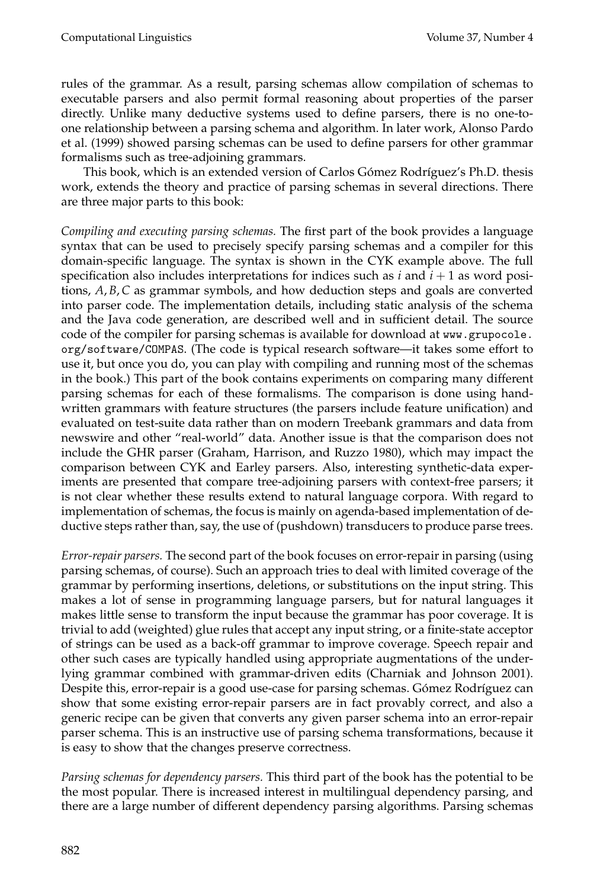rules of the grammar. As a result, parsing schemas allow compilation of schemas to executable parsers and also permit formal reasoning about properties of the parser directly. Unlike many deductive systems used to define parsers, there is no one-toone relationship between a parsing schema and algorithm. In later work, Alonso Pardo et al. (1999) showed parsing schemas can be used to define parsers for other grammar formalisms such as tree-adjoining grammars.

This book, which is an extended version of Carlos Gómez Rodríguez's Ph.D. thesis work, extends the theory and practice of parsing schemas in several directions. There are three major parts to this book:

*Compiling and executing parsing schemas.* The first part of the book provides a language syntax that can be used to precisely specify parsing schemas and a compiler for this domain-specific language. The syntax is shown in the CYK example above. The full specification also includes interpretations for indices such as  $i$  and  $i + 1$  as word positions, *A*, *B*,*C* as grammar symbols, and how deduction steps and goals are converted into parser code. The implementation details, including static analysis of the schema and the Java code generation, are described well and in sufficient detail. The source code of the compiler for parsing schemas is available for download at www.grupocole. org/software/COMPAS. (The code is typical research software—it takes some effort to use it, but once you do, you can play with compiling and running most of the schemas in the book.) This part of the book contains experiments on comparing many different parsing schemas for each of these formalisms. The comparison is done using handwritten grammars with feature structures (the parsers include feature unification) and evaluated on test-suite data rather than on modern Treebank grammars and data from newswire and other "real-world" data. Another issue is that the comparison does not include the GHR parser (Graham, Harrison, and Ruzzo 1980), which may impact the comparison between CYK and Earley parsers. Also, interesting synthetic-data experiments are presented that compare tree-adjoining parsers with context-free parsers; it is not clear whether these results extend to natural language corpora. With regard to implementation of schemas, the focus is mainly on agenda-based implementation of deductive steps rather than, say, the use of (pushdown) transducers to produce parse trees.

*Error-repair parsers.* The second part of the book focuses on error-repair in parsing (using parsing schemas, of course). Such an approach tries to deal with limited coverage of the grammar by performing insertions, deletions, or substitutions on the input string. This makes a lot of sense in programming language parsers, but for natural languages it makes little sense to transform the input because the grammar has poor coverage. It is trivial to add (weighted) glue rules that accept any input string, or a finite-state acceptor of strings can be used as a back-off grammar to improve coverage. Speech repair and other such cases are typically handled using appropriate augmentations of the underlying grammar combined with grammar-driven edits (Charniak and Johnson 2001). Despite this, error-repair is a good use-case for parsing schemas. Gómez Rodríguez can show that some existing error-repair parsers are in fact provably correct, and also a generic recipe can be given that converts any given parser schema into an error-repair parser schema. This is an instructive use of parsing schema transformations, because it is easy to show that the changes preserve correctness.

*Parsing schemas for dependency parsers.* This third part of the book has the potential to be the most popular. There is increased interest in multilingual dependency parsing, and there are a large number of different dependency parsing algorithms. Parsing schemas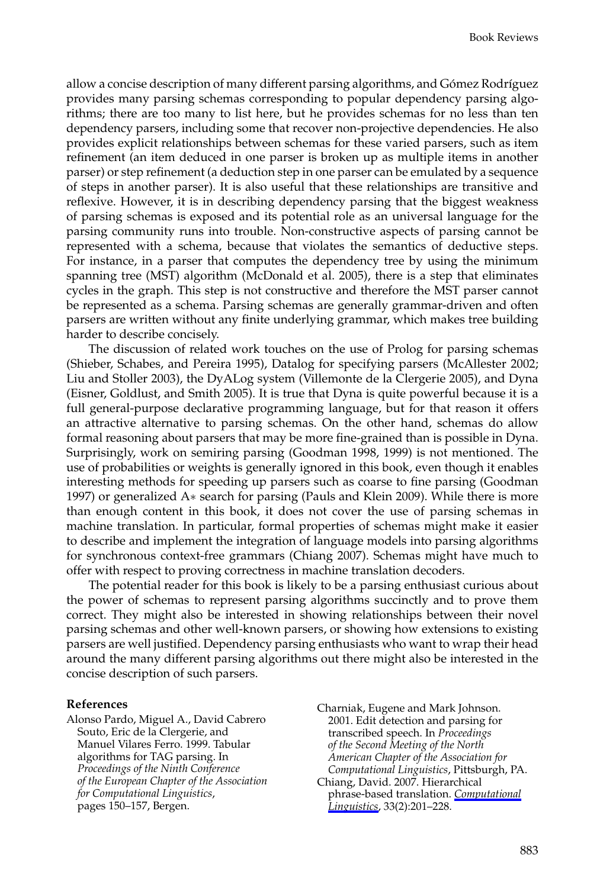allow a concise description of many different parsing algorithms, and Gómez Rodríguez provides many parsing schemas corresponding to popular dependency parsing algorithms; there are too many to list here, but he provides schemas for no less than ten dependency parsers, including some that recover non-projective dependencies. He also provides explicit relationships between schemas for these varied parsers, such as item refinement (an item deduced in one parser is broken up as multiple items in another parser) or step refinement (a deduction step in one parser can be emulated by a sequence of steps in another parser). It is also useful that these relationships are transitive and reflexive. However, it is in describing dependency parsing that the biggest weakness of parsing schemas is exposed and its potential role as an universal language for the parsing community runs into trouble. Non-constructive aspects of parsing cannot be represented with a schema, because that violates the semantics of deductive steps. For instance, in a parser that computes the dependency tree by using the minimum spanning tree (MST) algorithm (McDonald et al. 2005), there is a step that eliminates cycles in the graph. This step is not constructive and therefore the MST parser cannot be represented as a schema. Parsing schemas are generally grammar-driven and often parsers are written without any finite underlying grammar, which makes tree building harder to describe concisely.

The discussion of related work touches on the use of Prolog for parsing schemas (Shieber, Schabes, and Pereira 1995), Datalog for specifying parsers (McAllester 2002; Liu and Stoller 2003), the DyALog system (Villemonte de la Clergerie 2005), and Dyna (Eisner, Goldlust, and Smith 2005). It is true that Dyna is quite powerful because it is a full general-purpose declarative programming language, but for that reason it offers an attractive alternative to parsing schemas. On the other hand, schemas do allow formal reasoning about parsers that may be more fine-grained than is possible in Dyna. Surprisingly, work on semiring parsing (Goodman 1998, 1999) is not mentioned. The use of probabilities or weights is generally ignored in this book, even though it enables interesting methods for speeding up parsers such as coarse to fine parsing (Goodman 1997) or generalized A∗ search for parsing (Pauls and Klein 2009). While there is more than enough content in this book, it does not cover the use of parsing schemas in machine translation. In particular, formal properties of schemas might make it easier to describe and implement the integration of language models into parsing algorithms for synchronous context-free grammars (Chiang 2007). Schemas might have much to offer with respect to proving correctness in machine translation decoders.

The potential reader for this book is likely to be a parsing enthusiast curious about the power of schemas to represent parsing algorithms succinctly and to prove them correct. They might also be interested in showing relationships between their novel parsing schemas and other well-known parsers, or showing how extensions to existing parsers are well justified. Dependency parsing enthusiasts who want to wrap their head around the many different parsing algorithms out there might also be interested in the concise description of such parsers.

## **References**

Alonso Pardo, Miguel A., David Cabrero Souto, Eric de la Clergerie, and Manuel Vilares Ferro. 1999. Tabular algorithms for TAG parsing. In *Proceedings of the Ninth Conference of the European Chapter of the Association for Computational Linguistics*, pages 150–157, Bergen.

Charniak, Eugene and Mark Johnson. 2001. Edit detection and parsing for transcribed speech. In *Proceedings of the Second Meeting of the North American Chapter of the Association for Computational Linguistics*, Pittsburgh, PA. Chiang, David. 2007. Hierarchical phrase-based translation. *Computational Linguistics*, 33(2):201–228.